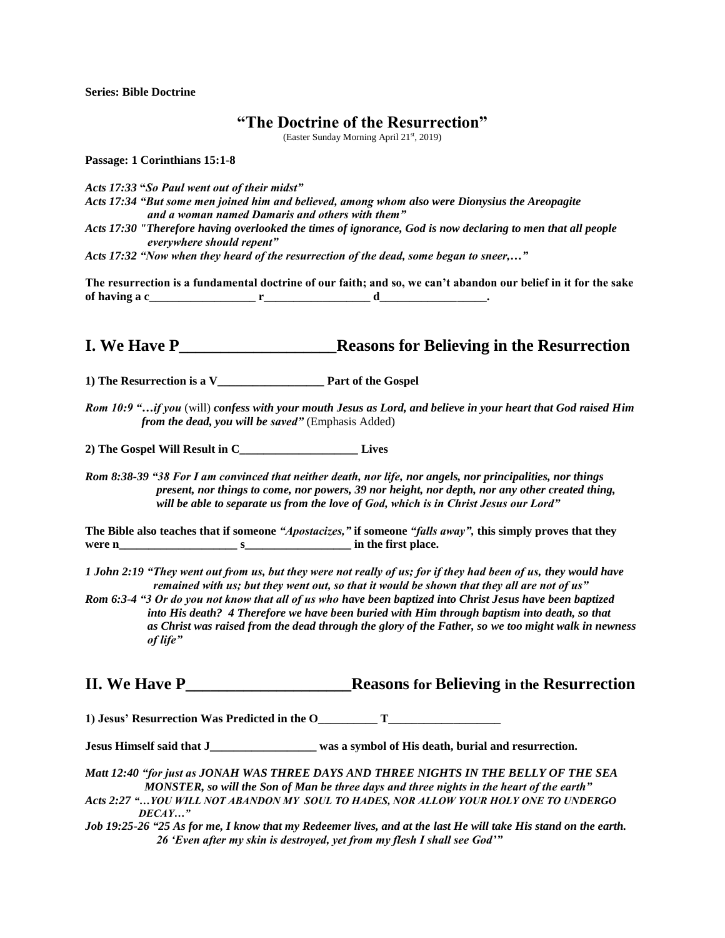**Series: Bible Doctrine**

## **"The Doctrine of the Resurrection"**

(Easter Sunday Morning April 21st, 2019)

**Passage: 1 Corinthians 15:1-8**

*Acts 17:33* **"***So Paul went out of their midst"* *Acts 17:34 "But some men joined him and believed, among whom also were Dionysius the Areopagite and a woman named Damaris and others with them" Acts 17:30 "Therefore having overlooked the times of ignorance, God is now declaring to men that all people everywhere should repent"*

*Acts 17:32 "Now when they heard of the resurrection of the dead, some began to sneer,…"*

**The resurrection is a fundamental doctrine of our faith; and so, we can't abandon our belief in it for the sake** of having  $a c$  **r** and  $c$  **r** and  $d$  **d**  $d$  **.** 

**I. We Have P\_\_\_\_\_\_\_\_\_\_\_\_\_\_\_\_\_\_\_Reasons for Believing in the Resurrection**

**1) The Resurrection is a V\_\_\_\_\_\_\_\_\_\_\_\_\_\_\_\_\_\_ Part of the Gospel**

*Rom 10:9 "…if you* (will) *confess with your mouth Jesus as Lord, and believe in your heart that God raised Him from the dead, you will be saved"* (Emphasis Added)

**2) The Gospel Will Result in C\_\_\_\_\_\_\_\_\_\_\_\_\_\_\_\_\_\_\_\_ Lives**

*Rom 8:38-39 "38 For I am convinced that neither death, nor life, nor angels, nor principalities, nor things present, nor things to come, nor powers, 39 nor height, nor depth, nor any other created thing, will be able to separate us from the love of God, which is in Christ Jesus our Lord"*

**The Bible also teaches that if someone** *"Apostacizes,"* **if someone** *"falls away",* **this simply proves that they were n\_\_\_\_\_\_\_\_\_\_\_\_\_\_\_\_\_\_\_\_ s\_\_\_\_\_\_\_\_\_\_\_\_\_\_\_\_\_\_ in the first place.** 

*1 John 2:19 "They went out from us, but they were not really of us; for if they had been of us, they would have remained with us; but they went out, so that it would be shown that they all are not of us"* 

*Rom 6:3-4 "3 Or do you not know that all of us who have been baptized into Christ Jesus have been baptized into His death? 4 Therefore we have been buried with Him through baptism into death, so that as Christ was raised from the dead through the glory of the Father, so we too might walk in newness of life"*

**II. We Have P\_\_\_\_\_\_\_\_\_\_\_\_\_\_\_\_\_\_\_\_Reasons for Believing in the Resurrection**

**1) Jesus' Resurrection Was Predicted in the O\_\_\_\_\_\_\_\_\_\_ T\_\_\_\_\_\_\_\_\_\_\_\_\_\_\_\_\_\_\_**

**Jesus Himself said that J\_\_\_\_\_\_\_\_\_\_\_\_\_\_\_\_\_\_ was a symbol of His death, burial and resurrection.** 

- *Matt 12:40 "for just as JONAH WAS THREE DAYS AND THREE NIGHTS IN THE BELLY OF THE SEA MONSTER, so will the Son of Man be three days and three nights in the heart of the earth"*
- *Acts 2:27 "…YOU WILL NOT ABANDON MY SOUL TO HADES, NOR ALLOW YOUR HOLY ONE TO UNDERGO DECAY…"*

*Job 19:25-26 "25 As for me, I know that my Redeemer lives, and at the last He will take His stand on the earth. 26 'Even after my skin is destroyed, yet from my flesh I shall see God'"*